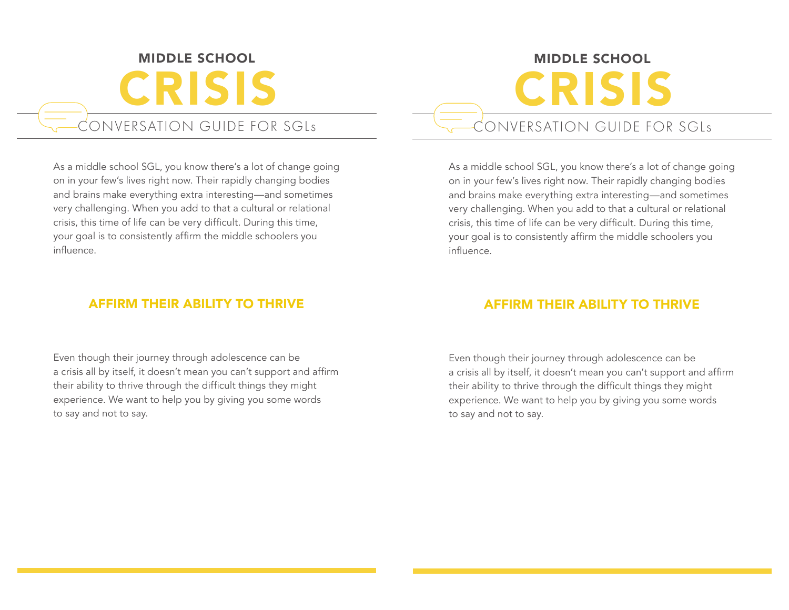# MIDDLE SCHOOL CRISIS CONVERSATION GUIDE FOR SGLs

As a middle school SGL, you know there's a lot of change going on in your few's lives right now. Their rapidly changing bodies and brains make everything extra interesting—and sometimes very challenging. When you add to that a cultural or relational crisis, this time of life can be very difficult. During this time, your goal is to consistently affirm the middle schoolers you influence.

### AFFIRM THEIR ABILITY TO THRIVE

Even though their journey through adolescence can be a crisis all by itself, it doesn't mean you can't support and affirm their ability to thrive through the difficult things they might experience. We want to help you by giving you some words to say and not to say.

# MIDDLE SCHOOL CRISIS CONVERSATION GUIDE FOR SGLs

As a middle school SGL, you know there's a lot of change going on in your few's lives right now. Their rapidly changing bodies and brains make everything extra interesting—and sometimes very challenging. When you add to that a cultural or relational crisis, this time of life can be very difficult. During this time, your goal is to consistently affirm the middle schoolers you influence.

## AFFIRM THEIR ABILITY TO THRIVE

Even though their journey through adolescence can be a crisis all by itself, it doesn't mean you can't support and affirm their ability to thrive through the difficult things they might experience. We want to help you by giving you some words to say and not to say.